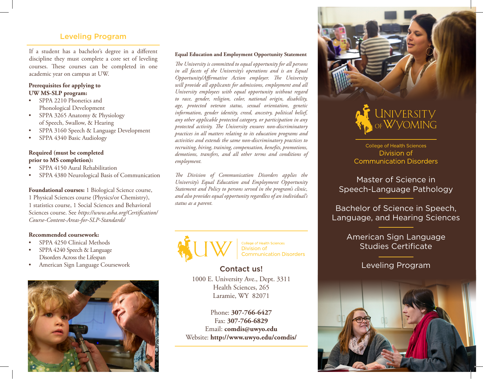#### Leveling Program

If a student has a bachelor's degree in a different<br> **Equal Education and Employment Opportunity Statement** discipline they must complete a core set of leveling courses. These courses can be completed in one academic year on campus at UW.

#### **Prerequisites for applying to UW MS-SLP program:**

- SPPA 2210 Phonetics and Phonological Development
- SPPA 3265 Anatomy & Physiology of Speech, Swallow, & Hearing
- SPPA 3160 Speech & Language Development
- SPPA 4340 Basic Audiology

#### **Required (must be completed prior to MS completion):**

- SPPA 4150 Aural Rehabilitation
- SPPA 4380 Neurological Basis of Communication

**Foundational courses:** 1 Biological Science course, 1 Physical Sciences course (Physics/or Chemistry), 1 statistics course, 1 Social Sciences and Behavioral Sciences course. See *https://www.asha.org/Certification/ Course-Content-Areas-for-SLP-Standards/* 

#### **Recommended coursework:**

- SPPA 4250 Clinical Methods
- SPPA 4240 Speech & Language Disorders Across the Lifespan
- American Sign Language Coursework



*The University is committed to equal opportunity for all persons in all facets of the University's operations and is an Equal Opportunity/Affirmative Action employer. The University will provide all applicants for admissions, employment and all University employees with equal opportunity without regard to race, gender, religion, color, national origin, disability, age, protected veteran status, sexual orientation, genetic information, gender identity, creed, ancestry, political belief, any other applicable protected category, or participation in any protected activity. The University ensures non-discriminatory practices in all matters relating to its education programs and activities and extends the same non-discriminatory practices to recruiting, hiring, training, compensation, benefits, promotions, demotions, transfers, and all other terms and conditions of employment.*

*The Division of Communication Disorders applies the University's Equal Education and Employment Opportunity Statement and Policy to persons served in the program's clinic, and also provides equal opportunity regardless of an individual's status as a parent.*



College of Health Sciences Division of **Communication Disorders** 

# Contact us!

1000 E. University Ave., Dept. 3311 Health Sciences, 265 Laramie, WY 82071

Phone: **307-766-6427** Fax: **307-766-6829** Email: **comdis@uwyo.edu** Website: **http://www.uwyo.edu/comdis/**





College of Health Sciences Division of **Communication Disorders** 

Master of Science in Speech-Language Pathology

Bachelor of Science in Speech, Language, and Hearing Sciences

> American Sign Language Studies Certificate

#### Leveling Program